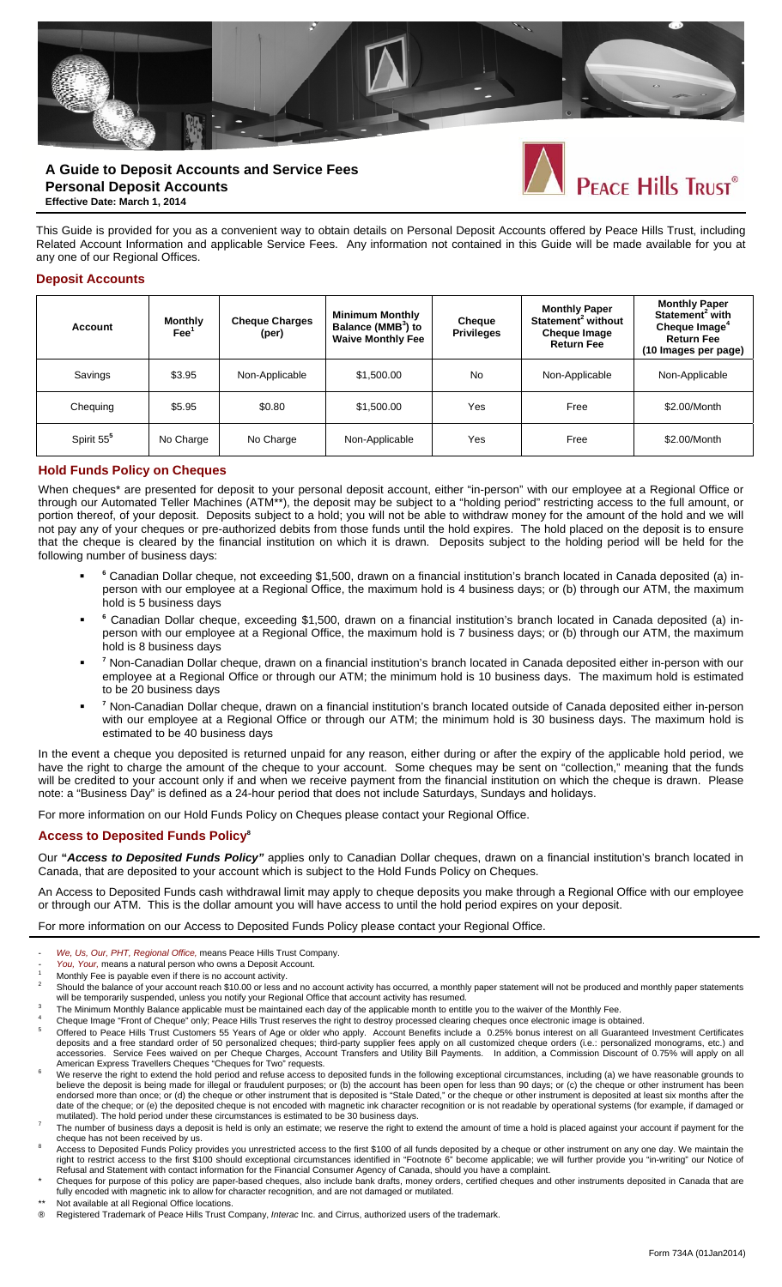

# **A Guide to Deposit Accounts and Service Fees Personal Deposit Accounts Effective Date: March 1, 2014**

This Guide is provided for you as a convenient way to obtain details on Personal Deposit Accounts offered by Peace Hills Trust, including Related Account Information and applicable Service Fees. Any information not contained in this Guide will be made available for you at any one of our Regional Offices.

#### **Deposit Accounts**

| Account                | <b>Monthly</b><br>$\mathsf{Fee}^1$ | <b>Cheque Charges</b><br>(per) | <b>Minimum Monthly</b><br>Balance (MMB <sup>3</sup> ) to<br><b>Waive Monthly Fee</b> | Cheque<br><b>Privileges</b> | <b>Monthly Paper</b><br>Statement <sup>2</sup> without<br><b>Cheque Image</b><br><b>Return Fee</b> | <b>Monthly Paper</b><br>Statement <sup>2</sup> with<br>Cheque Image <sup>4</sup><br><b>Return Fee</b><br>(10 Images per page) |
|------------------------|------------------------------------|--------------------------------|--------------------------------------------------------------------------------------|-----------------------------|----------------------------------------------------------------------------------------------------|-------------------------------------------------------------------------------------------------------------------------------|
| Savings                | \$3.95                             | Non-Applicable                 | \$1,500.00                                                                           | No                          | Non-Applicable                                                                                     | Non-Applicable                                                                                                                |
| Chequing               | \$5.95                             | \$0.80                         | \$1,500.00                                                                           | Yes                         | Free                                                                                               | \$2.00/Month                                                                                                                  |
| Spirit 55 <sup>5</sup> | No Charge                          | No Charge                      | Non-Applicable                                                                       | Yes                         | Free                                                                                               | \$2.00/Month                                                                                                                  |

#### **Hold Funds Policy on Cheques**

When cheques\* are presented for deposit to your personal deposit account, either "in-person" with our employee at a Regional Office or through our Automated Teller Machines (ATM\*\*), the deposit may be subject to a "holding period" restricting access to the full amount, or portion thereof, of your deposit. Deposits subject to a hold; you will not be able to withdraw money for the amount of the hold and we will not pay any of your cheques or pre-authorized debits from those funds until the hold expires. The hold placed on the deposit is to ensure that the cheque is cleared by the financial institution on which it is drawn. Deposits subject to the holding period will be held for the following number of business days:

- **<sup>6</sup>** Canadian Dollar cheque, not exceeding \$1,500, drawn on a financial institution's branch located in Canada deposited (a) inperson with our employee at a Regional Office, the maximum hold is 4 business days; or (b) through our ATM, the maximum hold is 5 business days
- **<sup>6</sup>** Canadian Dollar cheque, exceeding \$1,500, drawn on a financial institution's branch located in Canada deposited (a) inperson with our employee at a Regional Office, the maximum hold is 7 business days; or (b) through our ATM, the maximum hold is 8 business days
- **<sup>7</sup>** Non-Canadian Dollar cheque, drawn on a financial institution's branch located in Canada deposited either in-person with our employee at a Regional Office or through our ATM; the minimum hold is 10 business days. The maximum hold is estimated to be 20 business days
- **<sup>7</sup>** Non-Canadian Dollar cheque, drawn on a financial institution's branch located outside of Canada deposited either in-person with our employee at a Regional Office or through our ATM; the minimum hold is 30 business days. The maximum hold is estimated to be 40 business days

In the event a cheque you deposited is returned unpaid for any reason, either during or after the expiry of the applicable hold period, we have the right to charge the amount of the cheque to your account. Some cheques may be sent on "collection," meaning that the funds will be credited to your account only if and when we receive payment from the financial institution on which the cheque is drawn. Please note: a "Business Day" is defined as a 24-hour period that does not include Saturdays, Sundays and holidays.

For more information on our Hold Funds Policy on Cheques please contact your Regional Office.

### **Access to Deposited Funds Policy8**

Our **"***Access to Deposited Funds Policy"* applies only to Canadian Dollar cheques, drawn on a financial institution's branch located in Canada, that are deposited to your account which is subject to the Hold Funds Policy on Cheques.

An Access to Deposited Funds cash withdrawal limit may apply to cheque deposits you make through a Regional Office with our employee or through our ATM. This is the dollar amount you will have access to until the hold period expires on your deposit.

For more information on our Access to Deposited Funds Policy please contact your Regional Office.

- *We, Us, Our, PHT, Regional Office,* means Peace Hills Trust Company.
- You, Your, means a natural person who owns a Deposit Account.
- Monthly Fee is payable even if there is no account activity. 2
- Should the balance of your account reach \$10.00 or less and no account activity has occurred, a monthly paper statement will not be produced and monthly paper statements will be temporarily suspended, unless you notify your Regional Office that account activity has resumed.
- The Minimum Monthly Balance applicable must be maintained each day of the applicable month to entitle you to the waiver of the Monthly Fee.<br>Cheque Image "Front of Cheque" only; Peace Hills Trust reserves the right to destr
- <sup>4</sup> Cheque Image "Front of Cheque" only; Peace Hills Trust reserves the right to destroy processed clearing cheques once electronic image is obtained.<br><sup>5</sup> Offered to Peace Hills Trust Customers 55 Years of Age or older wh
- deposits and a free standard order of 50 personalized cheques; third-party supplier fees apply on all customized cheque orders (i.e.: personalized monograms, etc.) and accessories. Service Fees waived on per Cheque Charges, Account Transfers and Utility Bill Payments. In addition, a Commission Discount of 0.75% will apply on all American Express Travellers Cheques "Cheques for Two" reque American Express Travellers Cheques "Cheques for Two" requests.<br>We reserve the right to extend the hold period and refuse access to deposited funds in the following exceptional circumstances, including (a) we have reasonab
- believe the deposit is being made for illegal or fraudulent purposes; or (b) the account has been open for less than 90 days; or (c) the cheque or other instrument has been endorsed more than once; or (d) the cheque or other instrument that is deposited is "Stale Dated," or the cheque or other instrument is deposited at least six months after the date of the cheque; or (e) the deposited cheque is not encoded with magnetic ink character recognition or is not readable by operational systems (for example, if damaged or
- The number of business days a deposit is held is only an estimate; we reserve the right to extend the amount of time a hold is placed against your account if payment for the cheque has not been received by us.<br>Access to Deposited Funds Policy provides you unrestricted access to the first \$100 of all funds deposited by a cheque or other instrument on any one day. We maintain the
- right to restrict access to the first \$100 should exceptional circumstances identified in "Footnote 6" become applicable; we will further provide you "in-writing" our Notice of Refusal and Statement with contact information for the Financial Consumer Agency of Canada, should you have a complaint.
- Cheques for purpose of this policy are paper-based cheques, also include bank drafts, money orders, certified cheques and other instruments deposited in Canada that are fully encoded with magnetic ink to allow for character recognition, and are not damaged or mutilated.
- \*\* Not available at all Regional Office locations.<br>
® Registered Trademark of Peace Hills Trust C
- ® Registered Trademark of Peace Hills Trust Company, *Interac* Inc. and Cirrus, authorized users of the trademark.

PEACE Hills Trust®